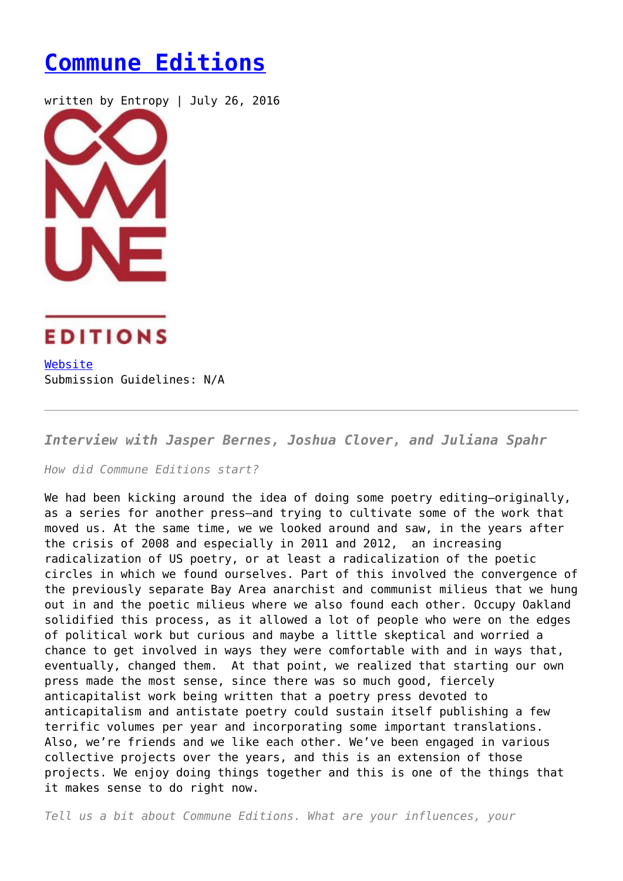## **[Commune Editions](https://entropymag.org/commune-editions/)**

written by Entropy | July 26, 2016





[Website](http://communeeditions.com/) Submission Guidelines: N/A

*Interview with Jasper Bernes, Joshua Clover, and Juliana Spahr*

*How did Commune Editions start?*

We had been kicking around the idea of doing some poetry editing-originally, as a series for another press—and trying to cultivate some of the work that moved us. At the same time, we we looked around and saw, in the years after the crisis of 2008 and especially in 2011 and 2012, an increasing radicalization of US poetry, or at least a radicalization of the poetic circles in which we found ourselves. Part of this involved the convergence of the previously separate Bay Area anarchist and communist milieus that we hung out in and the poetic milieus where we also found each other. Occupy Oakland solidified this process, as it allowed a lot of people who were on the edges of political work but curious and maybe a little skeptical and worried a chance to get involved in ways they were comfortable with and in ways that, eventually, changed them. At that point, we realized that starting our own press made the most sense, since there was so much good, fiercely anticapitalist work being written that a poetry press devoted to anticapitalism and antistate poetry could sustain itself publishing a few terrific volumes per year and incorporating some important translations. Also, we're friends and we like each other. We've been engaged in various collective projects over the years, and this is an extension of those projects. We enjoy doing things together and this is one of the things that it makes sense to do right now.

*Tell us a bit about Commune Editions. What are your influences, your*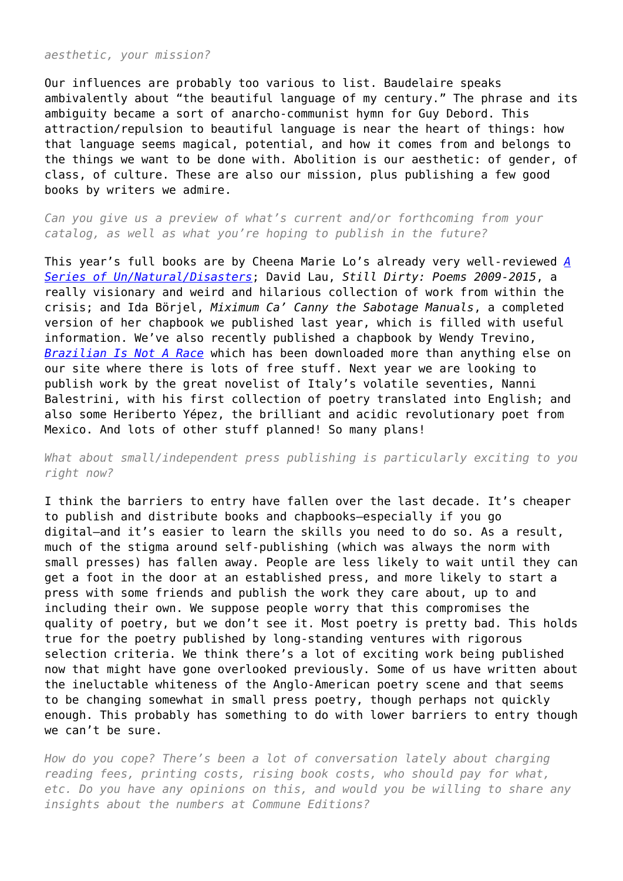*aesthetic, your mission?*

Our influences are probably too various to list. Baudelaire speaks ambivalently about "the beautiful language of my century." The phrase and its ambiguity became a sort of anarcho-communist hymn for Guy Debord. This attraction/repulsion to beautiful language is near the heart of things: how that language seems magical, potential, and how it comes from and belongs to the things we want to be done with. Abolition is our aesthetic: of gender, of class, of culture. These are also our mission, plus publishing a few good books by writers we admire.

*Can you give us a preview of what's current and/or forthcoming from your catalog, as well as what you're hoping to publish in the future?*

This year's full books are by Cheena Marie Lo's already very well-reviewed *[A](http://www.lambdaliterary.org/reviews/05/22/a-series-of-unnaturaldisasters-by-cheena-marie-lo/) [Series of Un/Natural/Disasters](http://www.lambdaliterary.org/reviews/05/22/a-series-of-unnaturaldisasters-by-cheena-marie-lo/)*; David Lau, *Still Dirty: Poems 2009-2015*, a really visionary and weird and hilarious collection of work from within the crisis; and Ida Börjel, *Miximum Ca' Canny the Sabotage Manuals*, a completed version of her chapbook we published last year, which is filled with useful information. We've also recently published a chapbook by Wendy Trevino, *[Brazilian Is Not A Race](http://communeeditions.com/brazilian-is-not-a-race/)* which has been downloaded more than anything else on our site where there is lots of free stuff. Next year we are looking to publish work by the great novelist of Italy's volatile seventies, Nanni Balestrini, with his first collection of poetry translated into English; and also some Heriberto Yépez, the brilliant and acidic revolutionary poet from Mexico. And lots of other stuff planned! So many plans!

## *What about small/independent press publishing is particularly exciting to you right now?*

I think the barriers to entry have fallen over the last decade. It's cheaper to publish and distribute books and chapbooks—especially if you go digital—and it's easier to learn the skills you need to do so. As a result, much of the stigma around self-publishing (which was always the norm with small presses) has fallen away. People are less likely to wait until they can get a foot in the door at an established press, and more likely to start a press with some friends and publish the work they care about, up to and including their own. We suppose people worry that this compromises the quality of poetry, but we don't see it. Most poetry is pretty bad. This holds true for the poetry published by long-standing ventures with rigorous selection criteria. We think there's a lot of exciting work being published now that might have gone overlooked previously. Some of us have written about the ineluctable whiteness of the Anglo-American poetry scene and that seems to be changing somewhat in small press poetry, though perhaps not quickly enough. This probably has something to do with lower barriers to entry though we can't be sure.

*How do you cope? There's been a lot of conversation lately about charging reading fees, printing costs, rising book costs, who should pay for what, etc. Do you have any opinions on this, and would you be willing to share any insights about the numbers at Commune Editions?*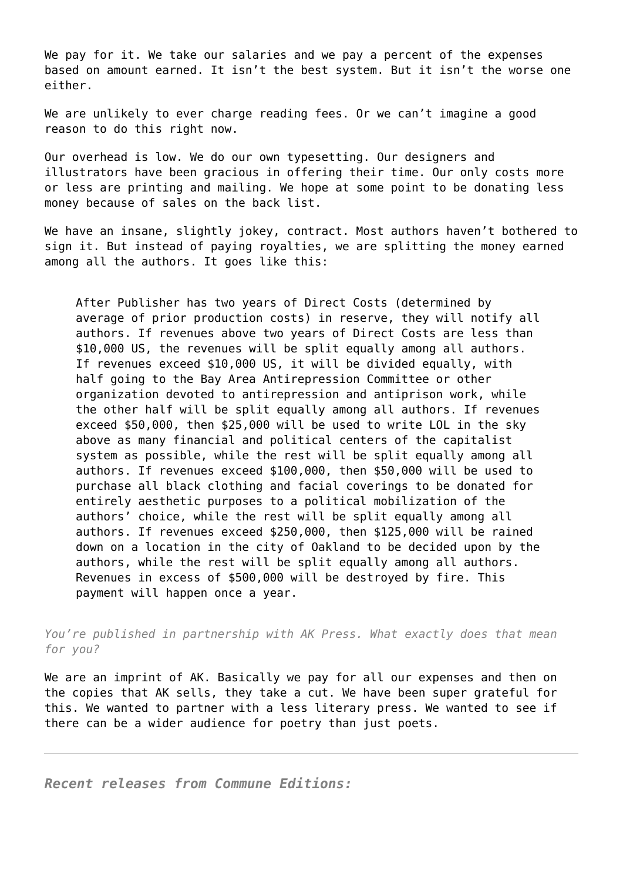We pay for it. We take our salaries and we pay a percent of the expenses based on amount earned. It isn't the best system. But it isn't the worse one either.

We are unlikely to ever charge reading fees. Or we can't imagine a good reason to do this right now.

Our overhead is low. We do our own typesetting. Our designers and illustrators have been gracious in offering their time. Our only costs more or less are printing and mailing. We hope at some point to be donating less money because of sales on the back list.

We have an insane, slightly jokey, contract. Most authors haven't bothered to sign it. But instead of paying royalties, we are splitting the money earned among all the authors. It goes like this:

After Publisher has two years of Direct Costs (determined by average of prior production costs) in reserve, they will notify all authors. If revenues above two years of Direct Costs are less than \$10,000 US, the revenues will be split equally among all authors. If revenues exceed \$10,000 US, it will be divided equally, with half going to the Bay Area Antirepression Committee or other organization devoted to antirepression and antiprison work, while the other half will be split equally among all authors. If revenues exceed \$50,000, then \$25,000 will be used to write LOL in the sky above as many financial and political centers of the capitalist system as possible, while the rest will be split equally among all authors. If revenues exceed \$100,000, then \$50,000 will be used to purchase all black clothing and facial coverings to be donated for entirely aesthetic purposes to a political mobilization of the authors' choice, while the rest will be split equally among all authors. If revenues exceed \$250,000, then \$125,000 will be rained down on a location in the city of Oakland to be decided upon by the authors, while the rest will be split equally among all authors. Revenues in excess of \$500,000 will be destroyed by fire. This payment will happen once a year.

*You're published in partnership with AK Press. What exactly does that mean for you?*

We are an imprint of AK. Basically we pay for all our expenses and then on the copies that AK sells, they take a cut. We have been super grateful for this. We wanted to partner with a less literary press. We wanted to see if there can be a wider audience for poetry than just poets.

*Recent releases from Commune Editions:*